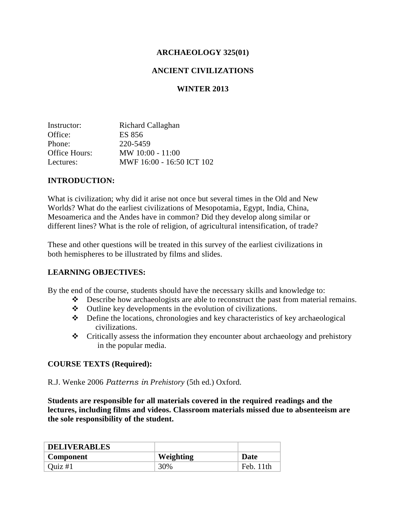## **ARCHAEOLOGY 325(01)**

## **ANCIENT CIVILIZATIONS**

#### **WINTER 2013**

| Instructor:   | Richard Callaghan         |
|---------------|---------------------------|
| Office:       | ES 856                    |
| Phone:        | 220-5459                  |
| Office Hours: | $MW 10:00 - 11:00$        |
| Lectures:     | MWF 16:00 - 16:50 ICT 102 |

#### **INTRODUCTION:**

What is civilization; why did it arise not once but several times in the Old and New Worlds? What do the earliest civilizations of Mesopotamia, Egypt, India, China, Mesoamerica and the Andes have in common? Did they develop along similar or different lines? What is the role of religion, of agricultural intensification, of trade?

These and other questions will be treated in this survey of the earliest civilizations in both hemispheres to be illustrated by films and slides.

#### **LEARNING OBJECTIVES:**

By the end of the course, students should have the necessary skills and knowledge to:

- Describe how archaeologists are able to reconstruct the past from material remains.
- Outline key developments in the evolution of civilizations.
- $\triangle$  Define the locations, chronologies and key characteristics of key archaeological civilizations.
- Critically assess the information they encounter about archaeology and prehistory in the popular media.

#### **COURSE TEXTS (Required):**

R.J. Wenke 2006 *Patterns in Prehistory* (5th ed.) Oxford.

**Students are responsible for all materials covered in the required readings and the lectures, including films and videos. Classroom materials missed due to absenteeism are the sole responsibility of the student.**

| <b>DELIVERABLES</b> |           |             |
|---------------------|-----------|-------------|
| Component           | Weighting | <b>Date</b> |
| Ouiz $#1$           | 30%       | Feb. 11th   |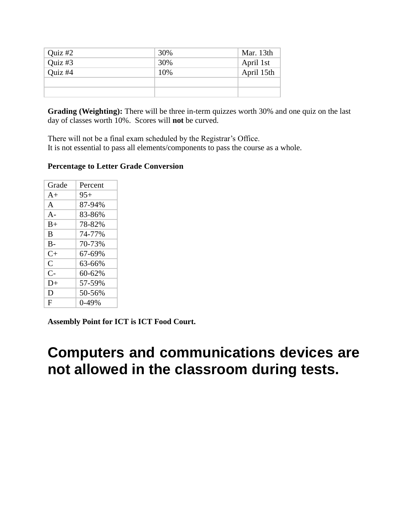| Quiz $#2$ | 30% | Mar. 13th  |
|-----------|-----|------------|
| Quiz $#3$ | 30% | April 1st  |
| Quiz $#4$ | 10% | April 15th |
|           |     |            |
|           |     |            |

**Grading (Weighting):** There will be three in-term quizzes worth 30% and one quiz on the last day of classes worth 10%. Scores will **not** be curved.

There will not be a final exam scheduled by the Registrar's Office. It is not essential to pass all elements/components to pass the course as a whole.

## **Percentage to Letter Grade Conversion**

| Grade                | Percent |
|----------------------|---------|
| $A+$                 | $95+$   |
| $\mathsf{A}$         | 87-94%  |
| $A -$                | 83-86%  |
| $B+$                 | 78-82%  |
| R                    | 74-77%  |
| $B -$                | 70-73%  |
| $C_{\pm}$            | 67-69%  |
| $\mathsf{C}$         | 63-66%  |
| $\mathsf{C}\text{-}$ | 60-62%  |
| $D+$                 | 57-59%  |
| D                    | 50-56%  |
| F                    | 0-49%   |

**Assembly Point for ICT is ICT Food Court.**

# **Computers and communications devices are not allowed in the classroom during tests.**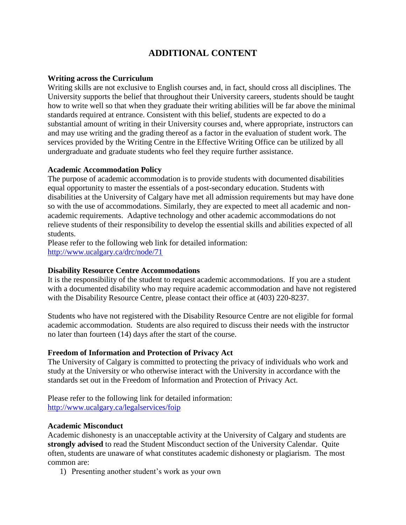## **ADDITIONAL CONTENT**

#### **Writing across the Curriculum**

Writing skills are not exclusive to English courses and, in fact, should cross all disciplines. The University supports the belief that throughout their University careers, students should be taught how to write well so that when they graduate their writing abilities will be far above the minimal standards required at entrance. Consistent with this belief, students are expected to do a substantial amount of writing in their University courses and, where appropriate, instructors can and may use writing and the grading thereof as a factor in the evaluation of student work. The services provided by the Writing Centre in the Effective Writing Office can be utilized by all undergraduate and graduate students who feel they require further assistance.

#### **Academic Accommodation Policy**

The purpose of academic accommodation is to provide students with documented disabilities equal opportunity to master the essentials of a post-secondary education. Students with disabilities at the University of Calgary have met all admission requirements but may have done so with the use of accommodations. Similarly, they are expected to meet all academic and nonacademic requirements. Adaptive technology and other academic accommodations do not relieve students of their responsibility to develop the essential skills and abilities expected of all students.

Please refer to the following web link for detailed information: <http://www.ucalgary.ca/drc/node/71>

#### **Disability Resource Centre Accommodations**

It is the responsibility of the student to request academic accommodations. If you are a student with a documented disability who may require academic accommodation and have not registered with the Disability Resource Centre, please contact their office at (403) 220-8237.

Students who have not registered with the Disability Resource Centre are not eligible for formal academic accommodation. Students are also required to discuss their needs with the instructor no later than fourteen (14) days after the start of the course.

#### **Freedom of Information and Protection of Privacy Act**

The University of Calgary is committed to protecting the privacy of individuals who work and study at the University or who otherwise interact with the University in accordance with the standards set out in the Freedom of Information and Protection of Privacy Act.

Please refer to the following link for detailed information: <http://www.ucalgary.ca/legalservices/foip>

#### **Academic Misconduct**

Academic dishonesty is an unacceptable activity at the University of Calgary and students are **strongly advised** to read the Student Misconduct section of the University Calendar. Quite often, students are unaware of what constitutes academic dishonesty or plagiarism. The most common are:

1) Presenting another student's work as your own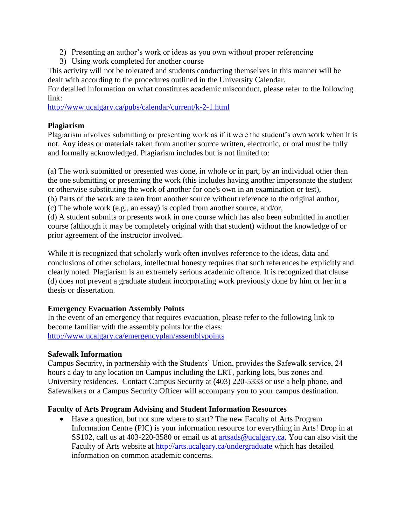- 2) Presenting an author's work or ideas as you own without proper referencing
- 3) Using work completed for another course

This activity will not be tolerated and students conducting themselves in this manner will be dealt with according to the procedures outlined in the University Calendar.

For detailed information on what constitutes academic misconduct, please refer to the following link:

<http://www.ucalgary.ca/pubs/calendar/current/k-2-1.html>

## **Plagiarism**

Plagiarism involves submitting or presenting work as if it were the student's own work when it is not. Any ideas or materials taken from another source written, electronic, or oral must be fully and formally acknowledged. Plagiarism includes but is not limited to:

(a) The work submitted or presented was done, in whole or in part, by an individual other than the one submitting or presenting the work (this includes having another impersonate the student or otherwise substituting the work of another for one's own in an examination or test), (b) Parts of the work are taken from another source without reference to the original author,

(c) The whole work (e.g., an essay) is copied from another source, and/or,

(d) A student submits or presents work in one course which has also been submitted in another course (although it may be completely original with that student) without the knowledge of or prior agreement of the instructor involved.

While it is recognized that scholarly work often involves reference to the ideas, data and conclusions of other scholars, intellectual honesty requires that such references be explicitly and clearly noted. Plagiarism is an extremely serious academic offence. It is recognized that clause (d) does not prevent a graduate student incorporating work previously done by him or her in a thesis or dissertation.

## **Emergency Evacuation Assembly Points**

In the event of an emergency that requires evacuation, please refer to the following link to become familiar with the assembly points for the class: <http://www.ucalgary.ca/emergencyplan/assemblypoints>

## **Safewalk Information**

Campus Security, in partnership with the Students' Union, provides the Safewalk service, 24 hours a day to any location on Campus including the LRT, parking lots, bus zones and University residences. Contact Campus Security at (403) 220-5333 or use a help phone, and Safewalkers or a Campus Security Officer will accompany you to your campus destination.

## **Faculty of Arts Program Advising and Student Information Resources**

 Have a question, but not sure where to start? The new Faculty of Arts Program Information Centre (PIC) is your information resource for everything in Arts! Drop in at SS102, call us at 403-220-3580 or email us at [artsads@ucalgary.ca.](mailto:artsads@ucalgary.ca) You can also visit the Faculty of Arts website at<http://arts.ucalgary.ca/undergraduate> which has detailed information on common academic concerns.